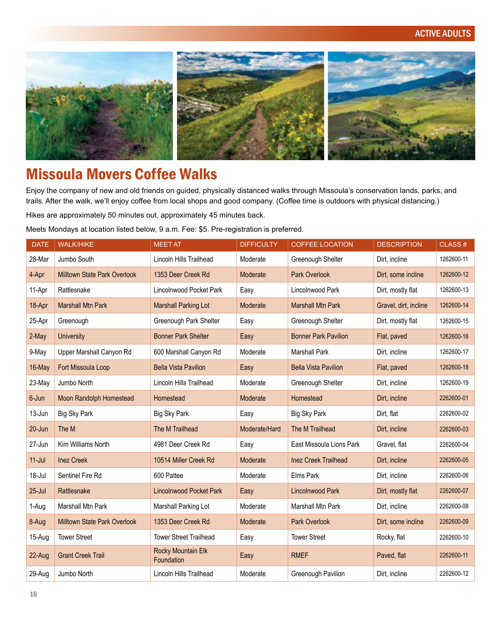#### ACTIVE ADULTS



# Missoula Movers Coffee Walks

Enjoy the company of new and old friends on guided, physically distanced walks through Missoula's conservation lands, parks, and trails. After the walk, we'll enjoy coffee from local shops and good company. (Coffee time is outdoors with physical distancing.)

Hikes are approximately 50 minutes out, approximately 45 minutes back.

Meets Mondays at location listed below, 9 a.m. Fee: \$5. Pre-registration is preferred.

| <b>DATE</b> | <b>WALK/HIKE</b>                    | <b>MEET AT</b>                          | <b>DIFFICULTY</b> | <b>COFFEE LOCATION</b>      | <b>DESCRIPTION</b>    | CLASS#     |
|-------------|-------------------------------------|-----------------------------------------|-------------------|-----------------------------|-----------------------|------------|
| 28-Mar      | Jumbo South                         | Lincoln Hills Trailhead                 | Moderate          | Greenough Shelter           | Dirt, incline         | 1262600-11 |
| 4-Apr       | Milltown State Park Overlook        | 1353 Deer Creek Rd                      | Moderate          | Park Overlook               | Dirt, some incline    | 1262600-12 |
| 11-Apr      | Rattlesnake                         | Lincolnwood Pocket Park                 | Easy              | Lincolnwood Park            | Dirt, mostly flat     | 1262600-13 |
| 18-Apr      | <b>Marshall Mtn Park</b>            | <b>Marshall Parking Lot</b>             | Moderate          | <b>Marshall Mtn Park</b>    | Gravel, dirt, incline | 1262600-14 |
| 25-Apr      | Greenough                           | Greenough Park Shelter                  | Easy              | Greenough Shelter           | Dirt, mostly flat     | 1262600-15 |
| 2-May       | <b>University</b>                   | <b>Bonner Park Shelter</b>              | Easy              | <b>Bonner Park Pavilion</b> | Flat, paved           | 1262600-16 |
| 9-May       | Upper Marshall Canyon Rd            | 600 Marshall Canyon Rd                  | Moderate          | <b>Marshall Park</b>        | Dirt, incline         | 1262600-17 |
| 16-May      | Fort Missoula Loop                  | <b>Bella Vista Pavilion</b>             | Easy              | <b>Bella Vista Pavilion</b> | Flat, paved           | 1262600-18 |
| 23-May      | Jumbo North                         | Lincoln Hills Trailhead                 | Moderate          | Greenough Shelter           | Dirt, incline         | 1262600-19 |
| 6-Jun       | <b>Moon Randolph Homestead</b>      | Homestead                               | Moderate          | Homestead                   | Dirt, incline         | 2262600-01 |
| 13-Jun      | <b>Big Sky Park</b>                 | Big Sky Park                            | Easy              | Big Sky Park                | Dirt, flat            | 2262600-02 |
| 20-Jun      | The M                               | The M Trailhead                         | Moderate/Hard     | The M Trailhead             | Dirt, incline         | 2262600-03 |
| 27-Jun      | Kim Williams North                  | 4981 Deer Creek Rd                      | Easy              | East Missoula Lions Park    | Gravel, flat          | 2262600-04 |
| $11$ -Jul   | <b>Inez Creek</b>                   | 10514 Miller Creek Rd                   | Moderate          | <b>Inez Creek Trailhead</b> | Dirt, incline         | 2262600-05 |
| 18-Jul      | Sentinel Fire Rd                    | 600 Pattee                              | Moderate          | Elms Park                   | Dirt, incline         | 2262600-06 |
| $25 -$ Jul  | Rattlesnake                         | <b>Lincolnwood Pocket Park</b>          | Easy              | <b>Lincolnwood Park</b>     | Dirt, mostly flat     | 2262600-07 |
| 1-Aug       | Marshall Mtn Park                   | Marshall Parking Lot                    | Moderate          | Marshall Mtn Park           | Dirt. incline         | 2262600-08 |
| 8-Aug       | <b>Milltown State Park Overlook</b> | 1353 Deer Creek Rd                      | Moderate          | <b>Park Overlook</b>        | Dirt, some incline    | 2262600-09 |
| 15-Aug      | <b>Tower Street</b>                 | <b>Tower Street Trailhead</b>           | Easy              | <b>Tower Street</b>         | Rocky, flat           | 2262600-10 |
| 22-Aug      | <b>Grant Creek Trail</b>            | <b>Rocky Mountain Elk</b><br>Foundation | Easy              | <b>RMEF</b>                 | Paved, flat           | 2262600-11 |
| 29-Aug      | Jumbo North                         | Lincoln Hills Trailhead                 | Moderate          | Greenough Pavilion          | Dirt, incline         | 2262600-12 |